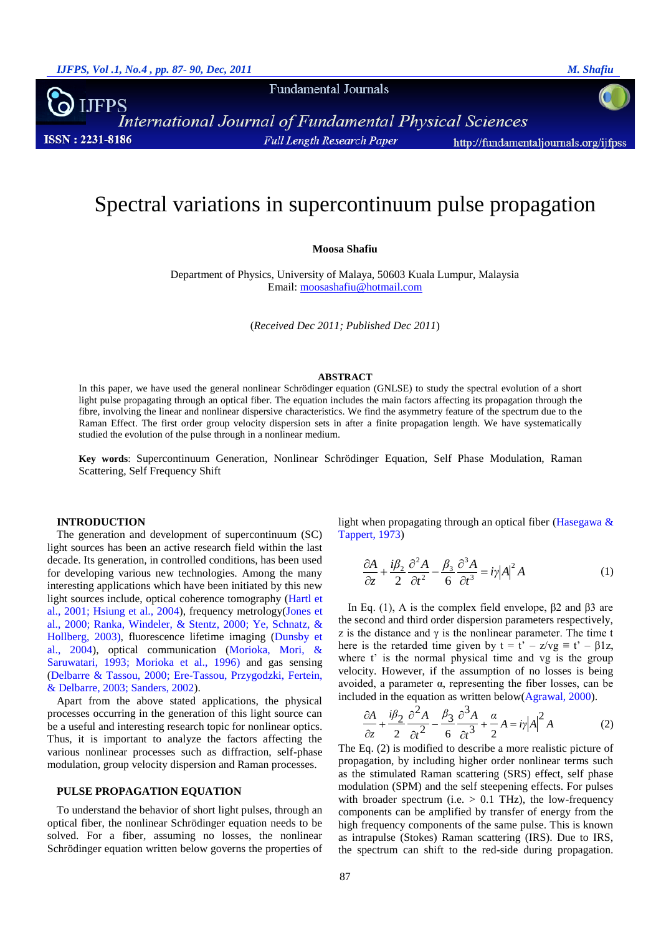**Fundamental Journals** 

International Journal of Fundamental Physical Sciences **ISSN: 2231-8186 Full Length Research Paper** http://fundamentaljournals.org/ijfpss

# Spectral variations in supercontinuum pulse propagation

**Moosa Shafiu**

Department of Physics, University of Malaya, 50603 Kuala Lumpur, Malaysia Email: [moosashafiu@hotmail.com](mailto:moosashafiu@hotmail.com)

(*Received Dec 2011; Published Dec 2011*)

#### **ABSTRACT**

In this paper, we have used the general nonlinear Schrödinger equation (GNLSE) to study the spectral evolution of a short light pulse propagating through an optical fiber. The equation includes the main factors affecting its propagation through the fibre, involving the linear and nonlinear dispersive characteristics. We find the asymmetry feature of the spectrum due to the Raman Effect. The first order group velocity dispersion sets in after a finite propagation length. We have systematically studied the evolution of the pulse through in a nonlinear medium.

**Key words**: Supercontinuum Generation, Nonlinear Schrödinger Equation, Self Phase Modulation, Raman Scattering, Self Frequency Shift

### **INTRODUCTION**

The generation and development of supercontinuum (SC) light sources has been an active research field within the last decade. Its generation, in controlled conditions, has been used for developing various new technologies. Among the many interesting applications which have been initiated by this new light sources include, optical coherence tomography [\(Hartl et](#page-2-0)  [al., 2001;](#page-2-0) [Hsiung et al., 2004\)](#page-3-0), frequency metrology[\(Jones et](#page-3-1)  [al., 2000;](#page-3-1) [Ranka, Windeler, & Stentz, 2000;](#page-3-2) [Ye, Schnatz, &](#page-3-3)  [Hollberg, 2003\)](#page-3-3), fluorescence lifetime imaging [\(Dunsby et](#page-2-1)  [al., 2004\)](#page-2-1), optical communication [\(Morioka, Mori, &](#page-3-4)  [Saruwatari, 1993;](#page-3-4) [Morioka et al., 1996\)](#page-3-5) and gas sensing [\(Delbarre & Tassou, 2000;](#page-2-2) [Ere-Tassou, Przygodzki, Fertein,](#page-2-3)  [& Delbarre, 2003;](#page-2-3) [Sanders, 2002\)](#page-3-6).

Apart from the above stated applications, the physical processes occurring in the generation of this light source can be a useful and interesting research topic for nonlinear optics. Thus, it is important to analyze the factors affecting the various nonlinear processes such as diffraction, self-phase modulation, group velocity dispersion and Raman processes.

### **PULSE PROPAGATION EQUATION**

To understand the behavior of short light pulses, through an optical fiber, the nonlinear Schrödinger equation needs to be solved. For a fiber, assuming no losses, the nonlinear Schrödinger equation written below governs the properties of light when propagating through an optical fiber [\(Hasegawa &](#page-2-4)  [Tappert, 1973\)](#page-2-4)

$$
\frac{\partial A}{\partial z} + \frac{i\beta_2}{2} \frac{\partial^2 A}{\partial t^2} - \frac{\beta_3}{6} \frac{\partial^3 A}{\partial t^3} = i\gamma |A|^2 A
$$
 (1)

In Eq. (1), A is the complex field envelope,  $β2$  and  $β3$  are the second and third order dispersion parameters respectively, z is the distance and  $\gamma$  is the nonlinear parameter. The time t here is the retarded time given by  $t = t' - z/vg \equiv t' - \beta 1z$ , where t' is the normal physical time and vg is the group velocity. However, if the assumption of no losses is being avoided, a parameter α, representing the fiber losses, can be included in the equation as written below[\(Agrawal, 2000\)](#page-2-5).

$$
\frac{\partial A}{\partial z} + \frac{i\beta_2}{2} \frac{\partial^2 A}{\partial t^2} - \frac{\beta_3}{6} \frac{\partial^3 A}{\partial t^3} + \frac{\alpha}{2} A = i\gamma |A|^2 A
$$
 (2)

The Eq. (2) is modified to describe a more realistic picture of propagation, by including higher order nonlinear terms such as the stimulated Raman scattering (SRS) effect, self phase modulation (SPM) and the self steepening effects. For pulses with broader spectrum (i.e.  $> 0.1$  THz), the low-frequency components can be amplified by transfer of energy from the high frequency components of the same pulse. This is known as intrapulse (Stokes) Raman scattering (IRS). Due to IRS, the spectrum can shift to the red-side during propagation.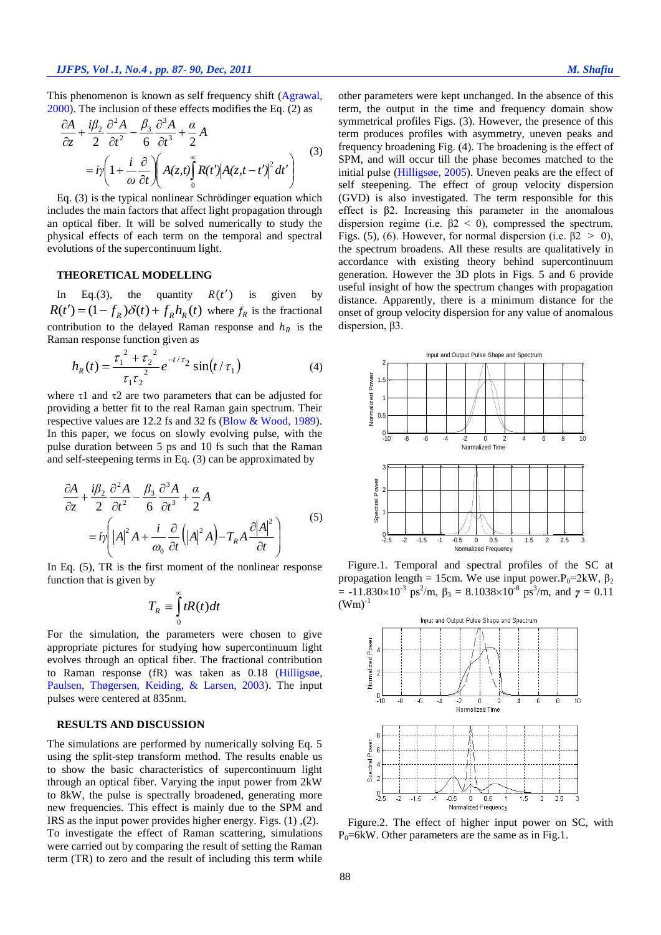This phenomenon is known as self frequency shift [\(Agrawal,](#page-2-5)  [2000\)](#page-2-5). The inclusion of these effects modifies the Eq. (2) as

$$
\frac{\partial A}{\partial z} + \frac{i\beta_2}{2} \frac{\partial^2 A}{\partial t^2} - \frac{\beta_3}{6} \frac{\partial^3 A}{\partial t^3} + \frac{\alpha}{2} A
$$
  
=  $i\gamma \left(1 + \frac{i}{\omega} \frac{\partial}{\partial t}\right) \left(A(z, t) \int_0^\infty R(t') \left|A(z, t - t')\right|^2 dt'\right)$  (3)

Eq. (3) is the typical nonlinear Schrödinger equation which includes the main factors that affect light propagation through an optical fiber. It will be solved numerically to study the physical effects of each term on the temporal and spectral evolutions of the supercontinuum light.

# **THEORETICAL MODELLING**

In Eq.(3), the quantity  $R(t')$  is given by  $R(t') = (1 - f_R) \delta(t) + f_R h_R(t)$  where  $f_R$  is the fractional contribution to the delayed Raman response and  $h_R$  is the Raman response function given as

$$
h_R(t) = \frac{{\tau_1}^2 + {\tau_2}^2}{ {\tau_1 {\tau_2}^2}} e^{-t/\tau_2} \sin(t/\tau_1)
$$
 (4)

where  $\tau$ 1 and  $\tau$ 2 are two parameters that can be adjusted for providing a better fit to the real Raman gain spectrum. Their respective values are 12.2 fs and 32 fs [\(Blow & Wood, 1989\)](#page-2-6). In this paper, we focus on slowly evolving pulse, with the pulse duration between 5 ps and 10 fs such that the Raman and self-steepening terms in Eq. (3) can be approximated by

$$
\frac{\partial A}{\partial z} + \frac{i\beta_2}{2} \frac{\partial^2 A}{\partial t^2} - \frac{\beta_3}{6} \frac{\partial^3 A}{\partial t^3} + \frac{\alpha}{2} A
$$
  
=  $i\gamma \left( |A|^2 A + \frac{i}{\omega_0} \frac{\partial}{\partial t} (|A|^2 A) - T_R A \frac{\partial |A|^2}{\partial t} \right)$  (5)

In Eq. (5), TR is the first moment of the nonlinear response function that is given by

$$
T_R \equiv \int_0^\infty tR(t)dt
$$

For the simulation, the parameters were chosen to give appropriate pictures for studying how supercontinuum light evolves through an optical fiber. The fractional contribution to Raman response (fR) was taken as 0.18 [\(Hilligsøe,](#page-3-7)  [Paulsen, Thøgersen, Keiding, & Larsen, 2003\)](#page-3-7). The input pulses were centered at 835nm.

## **RESULTS AND DISCUSSION**

The simulations are performed by numerically solving Eq. 5 using the split-step transform method. The results enable us to show the basic characteristics of supercontinuum light through an optical fiber. Varying the input power from 2kW to 8kW, the pulse is spectrally broadened, generating more new frequencies. This effect is mainly due to the SPM and IRS as the input power provides higher energy. Figs. (1) ,(2). To investigate the effect of Raman scattering, simulations were carried out by comparing the result of setting the Raman term (TR) to zero and the result of including this term while other parameters were kept unchanged. In the absence of this term, the output in the time and frequency domain show symmetrical profiles Figs. (3). However, the presence of this term produces profiles with asymmetry, uneven peaks and frequency broadening Fig. (4). The broadening is the effect of SPM, and will occur till the phase becomes matched to the initial pulse [\(Hilligsøe, 2005\)](#page-3-8). Uneven peaks are the effect of self steepening. The effect of group velocity dispersion (GVD) is also investigated. The term responsible for this effect is β2. Increasing this parameter in the anomalous dispersion regime (i.e.  $β2 < 0$ ), compressed the spectrum. Figs. (5), (6). However, for normal dispersion (i.e.  $\beta$ 2 > 0), the spectrum broadens. All these results are qualitatively in accordance with existing theory behind supercontinuum generation. However the 3D plots in Figs. 5 and 6 provide useful insight of how the spectrum changes with propagation distance. Apparently, there is a minimum distance for the onset of group velocity dispersion for any value of anomalous dispersion, β3.



Figure.1. Temporal and spectral profiles of the SC at propagation length = 15cm. We use input power. $P_0=2kW$ ,  $\beta_2$ =  $-11.830 \times 10^{-3}$  ps<sup>2</sup>/m, β<sub>3</sub> = 8.1038×10<sup>-8</sup> ps<sup>3</sup>/m, and γ = 0.11  $(Wm)^{-1}$ 



Figure.2. The effect of higher input power on SC, with  $P_0$ =6kW. Other parameters are the same as in Fig.1.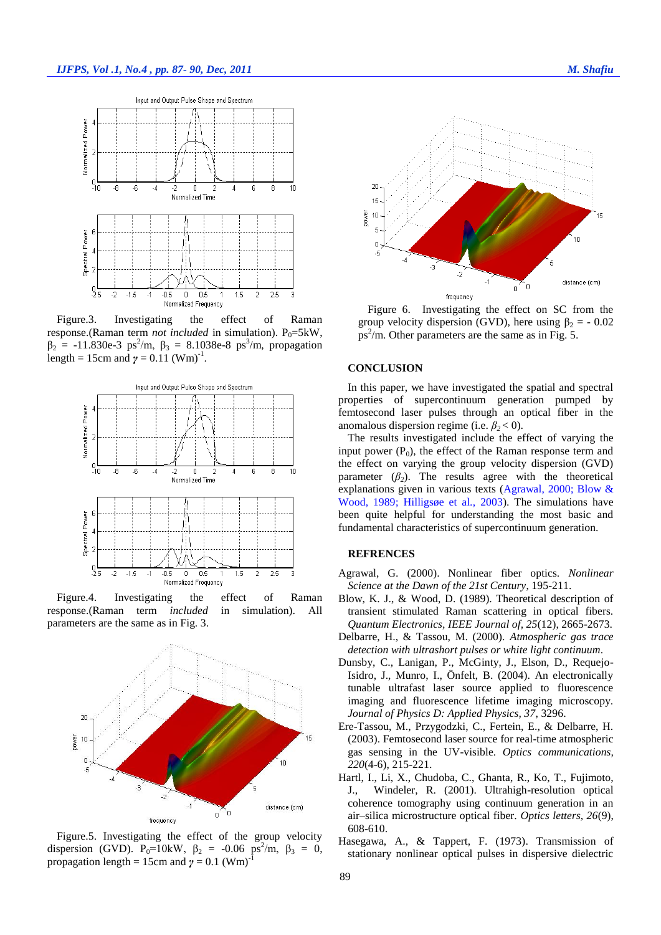

Figure.3. Investigating the effect of Raman response.(Raman term *not included* in simulation).  $P_0 = 5kW$ ,  $β<sub>2</sub> = -11.830e-3 ps<sup>2</sup>/m, β<sub>3</sub> = 8.1038e-8 ps<sup>3</sup>/m, propagation$ length = 15cm and  $\gamma = 0.11$  (Wm)<sup>-1</sup>.



Figure.4. Investigating the effect of Raman response.(Raman term *included* in simulation). All parameters are the same as in Fig. 3.



Figure.5. Investigating the effect of the group velocity dispersion (GVD).  $P_0 = 10kW$ ,  $\beta_2 = -0.06 \text{ ps}^2/\text{m}$ ,  $\beta_3 = 0$ , propagation length = 15cm and  $\gamma = 0.1$  (Wm)<sup>-1</sup>



Figure 6.Investigating the effect on SC from the group velocity dispersion (GVD), here using  $\beta_2 = -0.02$  $ps^2/m$ . Other parameters are the same as in Fig. 5.

## **CONCLUSION**

In this paper, we have investigated the spatial and spectral properties of supercontinuum generation pumped by femtosecond laser pulses through an optical fiber in the anomalous dispersion regime (i.e.  $\beta_2 < 0$ ).

The results investigated include the effect of varying the input power  $(P_0)$ , the effect of the Raman response term and the effect on varying the group velocity dispersion (GVD) parameter  $(\beta_2)$ . The results agree with the theoretical explanations given in various texts [\(Agrawal, 2000;](#page-2-5) [Blow &](#page-2-6)  [Wood, 1989;](#page-2-6) [Hilligsøe et al., 2003\)](#page-3-7). The simulations have been quite helpful for understanding the most basic and fundamental characteristics of supercontinuum generation.

# **REFRENCES**

- <span id="page-2-5"></span>Agrawal, G. (2000). Nonlinear fiber optics. *Nonlinear Science at the Dawn of the 21st Century*, 195-211.
- <span id="page-2-6"></span>Blow, K. J., & Wood, D. (1989). Theoretical description of transient stimulated Raman scattering in optical fibers. *Quantum Electronics, IEEE Journal of, 25*(12), 2665-2673.
- <span id="page-2-2"></span>Delbarre, H., & Tassou, M. (2000). *Atmospheric gas trace detection with ultrashort pulses or white light continuum*.
- <span id="page-2-1"></span>Dunsby, C., Lanigan, P., McGinty, J., Elson, D., Requejo-Isidro, J., Munro, I., Önfelt, B. (2004). An electronically tunable ultrafast laser source applied to fluorescence imaging and fluorescence lifetime imaging microscopy. *Journal of Physics D: Applied Physics, 37*, 3296.
- <span id="page-2-3"></span>Ere-Tassou, M., Przygodzki, C., Fertein, E., & Delbarre, H. (2003). Femtosecond laser source for real-time atmospheric gas sensing in the UV-visible. *Optics communications, 220*(4-6), 215-221.
- <span id="page-2-0"></span>Hartl, I., Li, X., Chudoba, C., Ghanta, R., Ko, T., Fujimoto, J., Windeler, R. (2001). Ultrahigh-resolution optical coherence tomography using continuum generation in an air–silica microstructure optical fiber. *Optics letters, 26*(9), 608-610.
- <span id="page-2-4"></span>Hasegawa, A., & Tappert, F. (1973). Transmission of stationary nonlinear optical pulses in dispersive dielectric